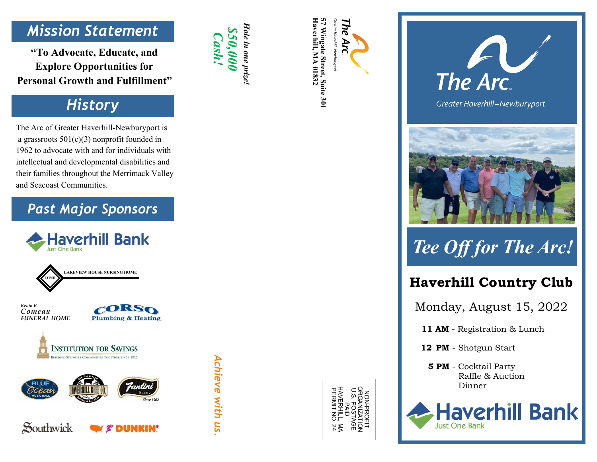### *Mission Statement*

**"To Advocate, Educate, and Explore Opportunities for Personal Growth and Fulfillment "**

### *History*

The Arc of Greater Haverhill -Newburyport is a grassroots 501(c)(3) nonprofit founded in 1962 to advocate with and for individuals with intellectual and developmental disabilities and their families throughout the Merrimack Valley and Seacoast Communities.

#### *Past Major Sponsors*







Southwick



*\$50,000 Cash!* 

*Hole in one prize!*

Hole in one prize!

Z<br>2 **ROFI** U.S. POSTAGE ORGANIZATION o<br>D<br>D PERMIT NO. 24 HAVERHILL, MA







## *Tee Off for The Arc!*

#### **Haverhill Country Club**

Monday, August 15, 2022

**11 AM** - Registration & Lunch

 **12 PM**  - Shotgun Start

 **5 PM**  - Cocktail Party Raffle & Auction Dinner